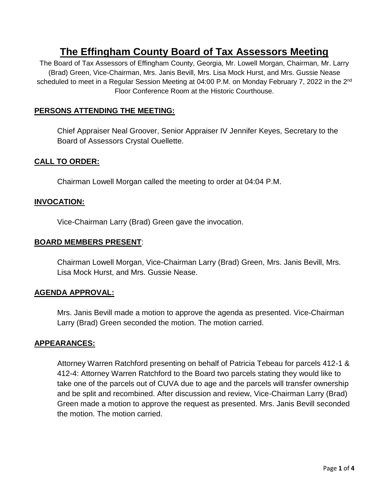# **The Effingham County Board of Tax Assessors Meeting**

The Board of Tax Assessors of Effingham County, Georgia, Mr. Lowell Morgan, Chairman, Mr. Larry (Brad) Green, Vice-Chairman, Mrs. Janis Bevill, Mrs. Lisa Mock Hurst, and Mrs. Gussie Nease scheduled to meet in a Regular Session Meeting at 04:00 P.M. on Monday February 7, 2022 in the 2<sup>nd</sup> Floor Conference Room at the Historic Courthouse.

# **PERSONS ATTENDING THE MEETING:**

Chief Appraiser Neal Groover, Senior Appraiser IV Jennifer Keyes, Secretary to the Board of Assessors Crystal Ouellette.

## **CALL TO ORDER:**

Chairman Lowell Morgan called the meeting to order at 04:04 P.M.

## **INVOCATION:**

Vice-Chairman Larry (Brad) Green gave the invocation.

## **BOARD MEMBERS PRESENT**:

Chairman Lowell Morgan, Vice-Chairman Larry (Brad) Green, Mrs. Janis Bevill, Mrs. Lisa Mock Hurst, and Mrs. Gussie Nease.

## **AGENDA APPROVAL:**

Mrs. Janis Bevill made a motion to approve the agenda as presented. Vice-Chairman Larry (Brad) Green seconded the motion. The motion carried.

## **APPEARANCES:**

Attorney Warren Ratchford presenting on behalf of Patricia Tebeau for parcels 412-1 & 412-4: Attorney Warren Ratchford to the Board two parcels stating they would like to take one of the parcels out of CUVA due to age and the parcels will transfer ownership and be split and recombined. After discussion and review, Vice-Chairman Larry (Brad) Green made a motion to approve the request as presented. Mrs. Janis Bevill seconded the motion. The motion carried.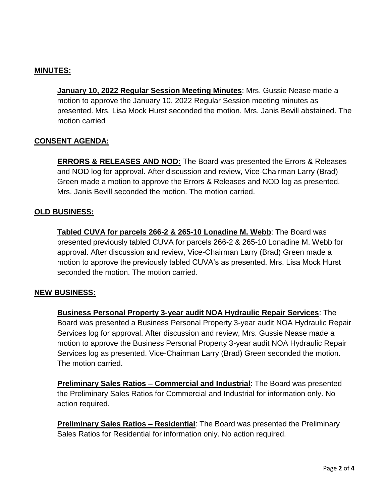## **MINUTES:**

**January 10, 2022 Regular Session Meeting Minutes**: Mrs. Gussie Nease made a motion to approve the January 10, 2022 Regular Session meeting minutes as presented. Mrs. Lisa Mock Hurst seconded the motion. Mrs. Janis Bevill abstained. The motion carried

## **CONSENT AGENDA:**

**ERRORS & RELEASES AND NOD:** The Board was presented the Errors & Releases and NOD log for approval. After discussion and review, Vice-Chairman Larry (Brad) Green made a motion to approve the Errors & Releases and NOD log as presented. Mrs. Janis Bevill seconded the motion. The motion carried.

#### **OLD BUSINESS:**

**Tabled CUVA for parcels 266-2 & 265-10 Lonadine M. Webb**: The Board was presented previously tabled CUVA for parcels 266-2 & 265-10 Lonadine M. Webb for approval. After discussion and review, Vice-Chairman Larry (Brad) Green made a motion to approve the previously tabled CUVA's as presented. Mrs. Lisa Mock Hurst seconded the motion. The motion carried.

#### **NEW BUSINESS:**

**Business Personal Property 3-year audit NOA Hydraulic Repair Services**: The Board was presented a Business Personal Property 3-year audit NOA Hydraulic Repair Services log for approval. After discussion and review, Mrs. Gussie Nease made a motion to approve the Business Personal Property 3-year audit NOA Hydraulic Repair Services log as presented. Vice-Chairman Larry (Brad) Green seconded the motion. The motion carried.

**Preliminary Sales Ratios – Commercial and Industrial**: The Board was presented the Preliminary Sales Ratios for Commercial and Industrial for information only. No action required.

**Preliminary Sales Ratios – Residential**: The Board was presented the Preliminary Sales Ratios for Residential for information only. No action required.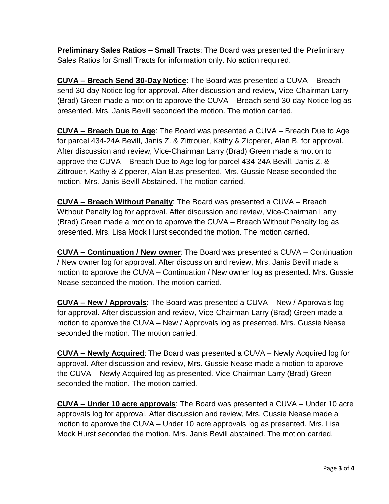**Preliminary Sales Ratios – Small Tracts**: The Board was presented the Preliminary Sales Ratios for Small Tracts for information only. No action required.

**CUVA – Breach Send 30-Day Notice**: The Board was presented a CUVA – Breach send 30-day Notice log for approval. After discussion and review, Vice-Chairman Larry (Brad) Green made a motion to approve the CUVA – Breach send 30-day Notice log as presented. Mrs. Janis Bevill seconded the motion. The motion carried.

**CUVA – Breach Due to Age**: The Board was presented a CUVA – Breach Due to Age for parcel 434-24A Bevill, Janis Z. & Zittrouer, Kathy & Zipperer, Alan B. for approval. After discussion and review, Vice-Chairman Larry (Brad) Green made a motion to approve the CUVA – Breach Due to Age log for parcel 434-24A Bevill, Janis Z. & Zittrouer, Kathy & Zipperer, Alan B.as presented. Mrs. Gussie Nease seconded the motion. Mrs. Janis Bevill Abstained. The motion carried.

**CUVA – Breach Without Penalty**: The Board was presented a CUVA – Breach Without Penalty log for approval. After discussion and review, Vice-Chairman Larry (Brad) Green made a motion to approve the CUVA – Breach Without Penalty log as presented. Mrs. Lisa Mock Hurst seconded the motion. The motion carried.

**CUVA – Continuation / New owner**: The Board was presented a CUVA – Continuation / New owner log for approval. After discussion and review, Mrs. Janis Bevill made a motion to approve the CUVA – Continuation / New owner log as presented. Mrs. Gussie Nease seconded the motion. The motion carried.

**CUVA – New / Approvals**: The Board was presented a CUVA – New / Approvals log for approval. After discussion and review, Vice-Chairman Larry (Brad) Green made a motion to approve the CUVA – New / Approvals log as presented. Mrs. Gussie Nease seconded the motion. The motion carried.

**CUVA – Newly Acquired**: The Board was presented a CUVA – Newly Acquired log for approval. After discussion and review, Mrs. Gussie Nease made a motion to approve the CUVA – Newly Acquired log as presented. Vice-Chairman Larry (Brad) Green seconded the motion. The motion carried.

**CUVA – Under 10 acre approvals**: The Board was presented a CUVA – Under 10 acre approvals log for approval. After discussion and review, Mrs. Gussie Nease made a motion to approve the CUVA – Under 10 acre approvals log as presented. Mrs. Lisa Mock Hurst seconded the motion. Mrs. Janis Bevill abstained. The motion carried.